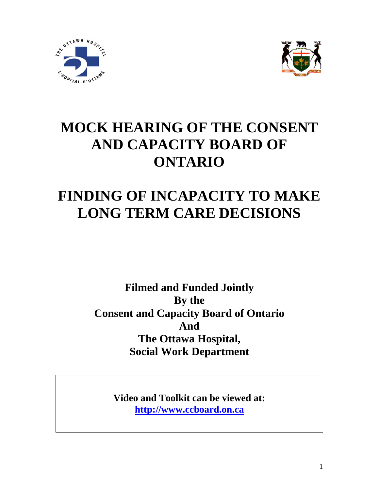



# **MOCK HEARING OF THE CONSENT AND CAPACITY BOARD OF ONTARIO**

# **FINDING OF INCAPACITY TO MAKE LONG TERM CARE DECISIONS**

**Filmed and Funded Jointly By the Consent and Capacity Board of Ontario And The Ottawa Hospital, Social Work Department** 

> **Video and Toolkit can be viewed at: [http://www.ccboard.on.ca](http://www.ccboard.on.ca/)**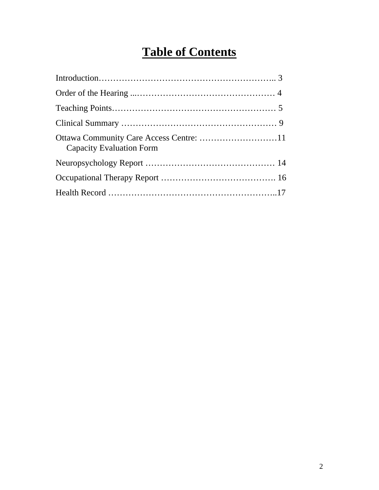# **Table of Contents**

| <b>Capacity Evaluation Form</b> |
|---------------------------------|
|                                 |
|                                 |
|                                 |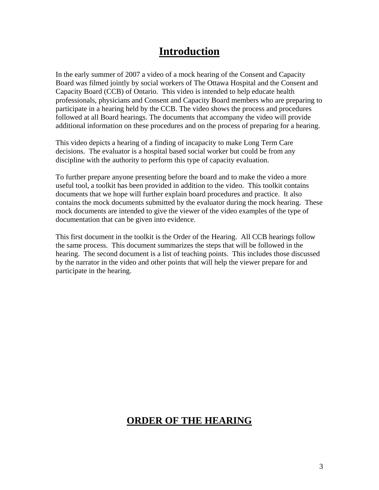# **Introduction**

professionals, physicians and Consent and Capacity Board members who are preparing to additional information on these procedures and on the process of preparing for a hearing. In the early summer of 2007 a video of a mock hearing of the Consent and Capacity Board was filmed jointly by social workers of The Ottawa Hospital and the Consent and Capacity Board (CCB) of Ontario. This video is intended to help educate health participate in a hearing held by the CCB. The video shows the process and procedures followed at all Board hearings. The documents that accompany the video will provide

decisions. The evaluator is a hospital based social worker but could be from any This video depicts a hearing of a finding of incapacity to make Long Term Care discipline with the authority to perform this type of capacity evaluation.

contains the mock documents submitted by the evaluator during the mock hearing. These mock documents are intended to give the viewer of the video examples of the type of To further prepare anyone presenting before the board and to make the video a more useful tool, a toolkit has been provided in addition to the video. This toolkit contains documents that we hope will further explain board procedures and practice. It also documentation that can be given into evidence.

hearing. The second document is a list of teaching points. This includes those discussed by the narrator in the video and other points that will help the viewer prepare for and participate in the hearing. This first document in the toolkit is the Order of the Hearing. All CCB hearings follow the same process. This document summarizes the steps that will be followed in the

# **ORDER OF THE HEARING**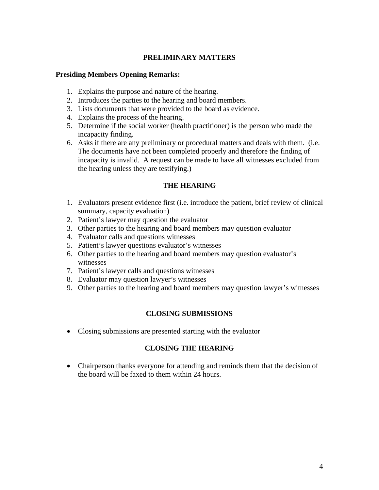### **PRELIMINARY MATTERS**

#### **Presiding Members Opening Remarks:**

- 1. Explains the purpose and nature of the hearing.
- 2. Introduces the parties to the hearing and board members.
- 3. Lists documents that were provided to the board as evidence.
- 4. Explains the process of the hearing.
- 5. Determine if the social worker (health practitioner) is the person who made the incapacity finding.
- The documents have not been completed properly and therefore the finding of incapacity is invalid. A request can be made to have all witnesses excluded from the hearing unless they are t estifying.) 6. Asks if there are any preliminary or procedural matters and deals with them. (i.e.

### **THE HEARING**

- 1. Evaluators present evidence first (i.e. introduce the patient, brief review of clinical summary, capacity evaluation)
- 2. Patient's lawyer may question the evaluator
- 3. Other parties to the hearing and board members may question evaluator
- 4. Evaluator calls and questions witnesses
- 5. Patient's lawyer questions evaluator's witnesses
- 6. Other parties to the hearing and board members may question evaluator's witnesses
- 7. Patient's lawyer calls and questions witnesses
- 8. Evaluator may question lawyer's witnesses
- 9. Other parties to the hearing and board members may question lawyer's witnesses

### **CLOSING SUBMISSIONS**

• Closing submissions are presented starting with the evaluator

### **CLOSING THE HEARING**

• Chairperson thanks everyone for attending and reminds them that the decision of the board will be faxed to them within 24 hours.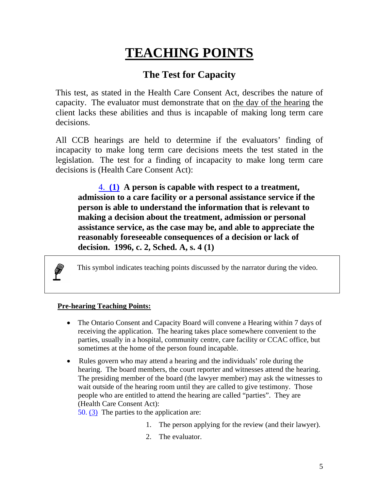# **TEACHING POINTS**

# **The Test for Capacity**

This test, as stated in the Health Care Consent Act, describes the nature of capacity. The evaluator must demonstrate that on the day of the hearing the client lacks these abilities and thus is incapable of making long term care decisions.

All CCB hearings are held to determine if the evaluators' finding of incapacity to make long term care decisions meets the test stated in the legislation. The test for a finding of incapacity to make long term care decisions is (Health Care Consent Act):

4. **[\(1\)](http://www.e-laws.gov.on.ca/DBLaws/Statutes/French/96h02_f.htm#4.(1)) A person is capable with respect to a treatment, admission to a care facility or a personal assistance service if the person is able to understand the information that is relevant to making a decision about the treatment, admission or personal assistance service, as the case may be, and able to appreciate the reasonably foreseeable consequences of a decision or lack of decision. 1996, c. 2, Sched. A, s. 4 (1)** 

This symbol indicates teaching points discussed by the narrator during the video.

### **Pre-hearing Teaching Points:**

P

- The Ontario Consent and Capacity Board will convene a Hearing within 7 days of receiving the application. The hearing takes place somewhere convenient to the parties, usually in a hospital, community centre, care facility or CCAC office, but sometimes at the home of the person found incapable.
- Rules govern who may attend a hearing and the individuals' role during the hearing. The board members, the court reporter and witnesses attend the hearing. The presiding member of the board (the lawyer member) may ask the witnesses to wait outside of the hearing room until they are called to give testimony. Those people who are entitled to attend the hearing are called "parties". They are (Health Care Consent Act):

50. [\(3\)](http://www.e-laws.gov.on.ca/DBLaws/Statutes/French/96h02_f.htm#50.(3)) The parties to the application are:

- 1. The person applying for the review (and their lawyer).
- 2. The evaluator.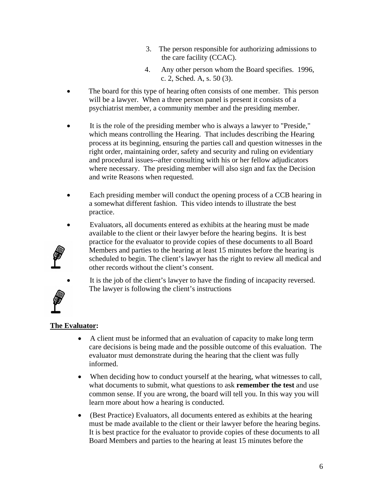- 3. The person responsible for authorizing admissions to the care facility (CCAC).
- 4. Any other person whom the Board specifies. 1996, c. 2, Sched. A, s. 50 (3).
- The board for this type of hearing often consists of one member. This person will be a lawyer. When a three person panel is present it consists of a psychiatrist member, a community member and the presiding member.
- It is the role of the presiding member who is always a lawyer to "Preside," which means controlling the Hearing. That includes describing the Hearing process at its beginning, ensuring the parties call and question witnesses in the right order, maintaining order, safety and security and ruling on evidentiary and procedural issues--after consulting with his or her fellow adjudicators where necessary. The presiding member will also sign and fax the Decision and write Reasons when requested.
- Each presiding member will conduct the opening process of a CCB hearing in a somewhat different fashion. This video intends to illustrate the best practice.
- Evaluators, all documents entered as exhibits at the hearing must be made available to the client or their lawyer before the hearing begins. It is best practice for the evaluator to provide copies of these documents to all Board Members and parties to the hearing at least 15 minutes before the hearing is scheduled to begin. The client's lawyer has the right to review all medical and other records without the client's consent.
- 
- It is the job of the client's lawyer to have the finding of incapacity reversed. The lawyer is following the client's instructions

### **The Evaluator:**

- A client must be informed that an evaluation of capacity to make long term care decisions is being made and the possible outcome of this evaluation. The evaluator must demonstrate during the hearing that the client was fully informed.
- When deciding how to conduct yourself at the hearing, what witnesses to call, what documents to submit, what questions to ask **remember the test** and use common sense. If you are wrong, the board will tell you. In this way you will learn more about how a hearing is conducted.
- (Best Practice) Evaluators, all documents entered as exhibits at the hearing must be made available to the client or their lawyer before the hearing begins. It is best practice for the evaluator to provide copies of these documents to all Board Members and parties to the hearing at least 15 minutes before the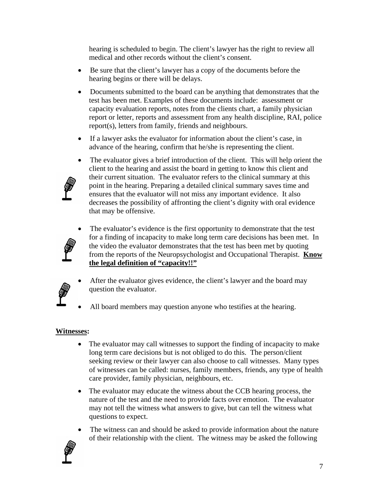hearing is scheduled to begin. The client's lawyer has the right to review all medical and other records without the client's consent.

- Be sure that the client's lawyer has a copy of the documents before the hearing begins or there will be delays.
- Documents submitted to the board can be anything that demonstrates that the test has been met. Examples of these documents include: assessment or capacity evaluation reports, notes from the clients chart, a family physician report or letter, reports and assessment from any health discipline, RAI, police report(s), letters from family, friends and neighbours.
- If a lawyer asks the evaluator for information about the client's case, in advance of the hearing, confirm that he/she is representing the client.
- The evaluator gives a brief introduction of the client. This will help orient the client to the hearing and assist the board in getting to know this client and their current situation. The evaluator refers to the clinical summary at this point in the hearing. Preparing a detailed clinical summary saves time and ensures that the evaluator will not miss any important evidence. It also decreases the possibility of affronting the client's dignity with oral evidence that may be offensive.
- 

• The evaluator's evidence is the first opportunity to demonstrate that the test for a finding of incapacity to make long term care decisions has been met. In the video the evaluator demonstrates that the test has been met by quoting from the reports of the Neuropsychologist and Occupational Therapist. **Know the legal definition of "capacity!!"**

- 
- After the evaluator gives evidence, the client's lawyer and the board may question the evaluator.
	- All board members may question anyone who testifies at the hearing.

### **Witnesses:**

- The evaluator may call witnesses to support the finding of incapacity to make long term care decisions but is not obliged to do this. The person/client seeking review or their lawyer can also choose to call witnesses. Many types of witnesses can be called: nurses, family members, friends, any type of health care provider, family physician, neighbours, etc.
- The evaluator may educate the witness about the CCB hearing process, the nature of the test and the need to provide facts over emotion. The evaluator may not tell the witness what answers to give, but can tell the witness what questions to expect.
- The witness can and should be asked to provide information about the nature of their relationship with the client. The witness may be asked the following

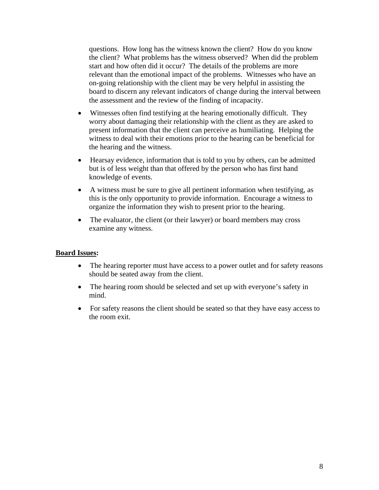questions. How long has the witness known the client? How do you know the client? What problems has the witness observed? When did the problem start and how often did it occur? The details of the problems are more relevant than the emotional impact of the problems. Witnesses who have an on-going relationship with the client may be very helpful in assisting the board to discern any relevant indicators of change during the interval between the assessment and the review of the finding of incapacity.

- Witnesses often find testifying at the hearing emotionally difficult. They worry about damaging their relationship with the client as they are asked to present information that the client can perceive as humiliating. Helping the witness to deal with their emotions prior to the hearing can be beneficial for the hearing and the witness.
- Hearsay evidence, information that is told to you by others, can be admitted but is of less weight than that offered by the person who has first hand knowledge of events.
- A witness must be sure to give all pertinent information when testifying, as this is the only opportunity to provide information. Encourage a witness to organize the information they wish to present prior to the hearing.
- The evaluator, the client (or their lawyer) or board members may cross examine any witness.

#### **Board Issues:**

- The hearing reporter must have access to a power outlet and for safety reasons should be seated away from the client.
- The hearing room should be selected and set up with everyone's safety in mind.
- For safety reasons the client should be seated so that they have easy access to the room exit.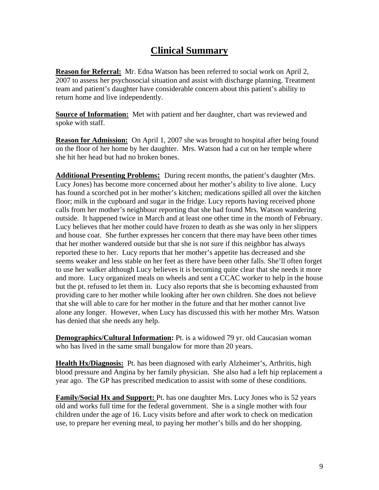## **Clinical Summary**

**Reason for Referral:** Mr. Edna Watson has been referred to social work on April 2, 2007 to assess her psychosocial situation and assist with discharge planning. Treatment team and patient's daughter have considerable concern about this patient's ability to return home and live independently.

**Source of Information:** Met with patient and her daughter, chart was reviewed and spoke with staff.

**Reason for Admission:** On April 1, 2007 she was brought to hospital after being found on the floor of her home by her daughter. Mrs. Watson had a cut on her temple where she hit her head but had no broken bones.

**Additional Presenting Problems:** During recent months, the patient's daughter (Mrs. Lucy Jones) has become more concerned about her mother's ability to live alone. Lucy has found a scorched pot in her mother's kitchen; medications spilled all over the kitchen floor; milk in the cupboard and sugar in the fridge. Lucy reports having received phone calls from her mother's neighbour reporting that she had found Mrs. Watson wandering outside. It happened twice in March and at least one other time in the month of February. Lucy believes that her mother could have frozen to death as she was only in her slippers and house coat. She further expresses her concern that there may have been other times that her mother wandered outside but that she is not sure if this neighbor has always reported these to her. Lucy reports that her mother's appetite has decreased and she seems weaker and less stable on her feet as there have been other falls. She'll often forget to use her walker although Lucy believes it is becoming quite clear that she needs it more and more. Lucy organized meals on wheels and sent a CCAC worker to help in the house but the pt. refused to let them in. Lucy also reports that she is becoming exhausted from providing care to her mother while looking after her own children. She does not believe that she will able to care for her mother in the future and that her mother cannot live alone any longer. However, when Lucy has discussed this with her mother Mrs. Watson has denied that she needs any help.

**Demographics/Cultural Information:** Pt. is a widowed 79 yr. old Caucasian woman who has lived in the same small bungalow for more than 20 years.

**Health Hx/Diagnosis:** Pt. has been diagnosed with early Alzheimer's, Arthritis, high blood pressure and Angina by her family physician. She also had a left hip replacement a year ago. The GP has prescribed medication to assist with some of these conditions.

**Family/Social Hx and Support:** Pt. has one daughter Mrs. Lucy Jones who is 52 years old and works full time for the federal government. She is a single mother with four children under the age of 16. Lucy visits before and after work to check on medication use, to prepare her evening meal, to paying her mother's bills and do her shopping.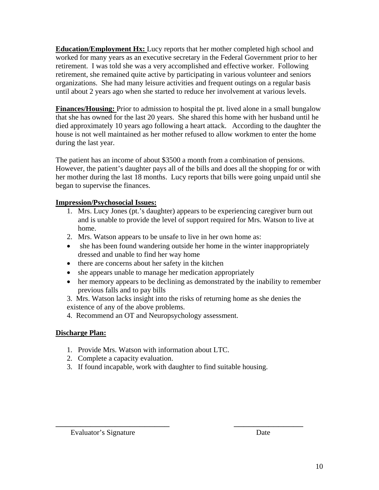**Education/Employment Hx:** Lucy reports that her mother completed high school and worked for many years as an executive secretary in the Federal Government prior to her retirement. I was told she was a very accomplished and effective worker. Following retirement, she remained quite active by participating in various volunteer and seniors organizations.She had many leisure activities and frequent outings on a regular basis until about 2 years ago when she started to reduce her involvement at various levels.

**Finances/Housing:** Prior to admission to hospital the pt. lived alone in a small bungalow that she has owned for the last 20 years. She shared this home with her husband until he died approximately 10 years ago following a heart attack. According to the daughter the house is not well maintained as her mother refused to allow workmen to enter the home during the last year.

The patient has an income of about \$3500 a month from a combination of pensions. However, the patient's daughter pays all of the bills and does all the shopping for or with her mother during the last 18 months. Lucy reports that bills were going unpaid until she began to supervise the finances.

### **Impression/Psychosocial Issues:**

- 1. Mrs. Lucy Jones (pt.'s daughter) appears to be experiencing caregiver burn out and is unable to provide the level of support required for Mrs. Watson to live at home.
- 2. Mrs. Watson appears to be unsafe to live in her own home as:
- she has been found wandering outside her home in the winter inappropriately dressed and unable to find her way home
- there are concerns about her safety in the kitchen
- she appears unable to manage her medication appropriately
- her memory appears to be declining as demonstrated by the inability to remember previous falls and to pay bills

3. Mrs. Watson lacks insight into the risks of returning home as she denies the existence of any of the above problems.

4. Recommend an OT and Neuropsychology assessment.

### **Discharge Plan:**

- 1. Provide Mrs. Watson with information about LTC.
- 2. Complete a capacity evaluation.
- 3. If found incapable, work with daughter to find suitable housing.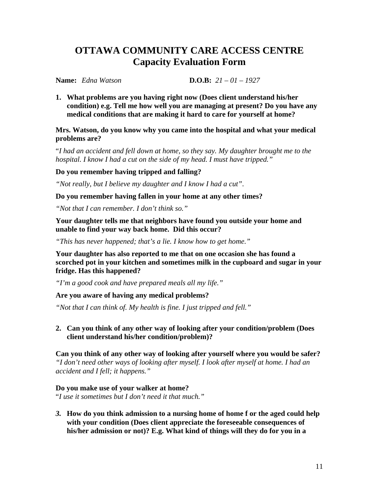## **OTTAWA COMMUNITY CARE ACCESS CENTRE Capacity Evaluation Form**

**Name:** *Edna Watson* **D.O.B:** *21 – 01 – 1927* 

**1. What problems are you having right now (Does client understand his/her condition) e.g. Tell me how well you are managing at present? Do you have any medical conditions that are making it hard to care for yourself at home?** 

#### **Mrs. Watson, do you know why you came into the hospital and what your medical problems are?**

"*I had an accident and fell down at home, so they say. My daughter brought me to the hospital. I know I had a cut on the side of my head. I must have tripped."* 

### **Do you remember having tripped and falling?**

*"Not really, but I believe my daughter and I know I had a cut"*.

**Do you remember having fallen in your home at any other times?** 

*"Not that I can remember. I don't think so."* 

**Your daughter tells me that neighbors have found you outside your home and unable to find your way back home. Did this occur?** 

*"This has never happened; that's a lie. I know how to get home."* 

**Your daughter has also reported to me that on one occasion she has found a scorched pot in your kitchen and sometimes milk in the cupboard and sugar in your fridge. Has this happened?** 

*"I'm a good cook and have prepared meals all my life."* 

**Are you aware of having any medical problems?** 

*"Not that I can think of. My health is fine. I just tripped and fell."* 

**2. Can you think of any other way of looking after your condition/problem (Does client understand his/her condition/problem)?** 

**Can you think of any other way of looking after yourself where you would be safer?**  *"I don't need other ways of looking after myself. I look after myself at home. I had an accident and I fell; it happens."* 

### **Do you make use of your walker at home?**

"*I use it sometimes but I don't need it that much."* 

*3.* **How do you think admission to a nursing home of home f or the aged could help with your condition (Does client appreciate the foreseeable consequences of his/her admission or not)? E.g. What kind of things will they do for you in a**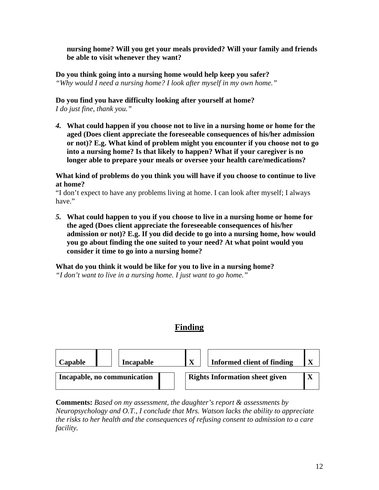**nursing home? Will you get your meals provided? Will your family and friends be able to visit whenever they want?**

**Do you think going into a nursing home would help keep you safer?**  *"Why would I need a nursing home? I look after myself in my own home."* 

### **Do you find you have difficulty looking after yourself at home?**

*I do just fine, thank you."* 

*4.* **What could happen if you choose not to live in a nursing home or home for the aged (Does client appreciate the foreseeable consequences of his/her admission or not)? E.g. What kind of problem might you encounter if you choose not to go into a nursing home? Is that likely to happen? What if your caregiver is no longer able to prepare your meals or oversee your health care/medications?**

**What kind of problems do you think you will have if you choose to continue to live at home?** 

"I don't expect to have any problems living at home. I can look after myself; I always have."

*5.* **What could happen to you if you choose to live in a nursing home or home for the aged (Does client appreciate the foreseeable consequences of his/her admission or not)? E.g. If you did decide to go into a nursing home, how would you go about finding the one suited to your need? At what point would you consider it time to go into a nursing home?**

**What do you think it would be like for you to live in a nursing home?**  *"I don't want to live in a nursing home. I just want to go home."* 

### **Finding**



**Comments:** *Based on my assessment, the daughter's report & assessments by Neuropsychology and O.T., I conclude that Mrs. Watson lacks the ability to appreciate the risks to her health and the consequences of refusing consent to admission to a care facility.*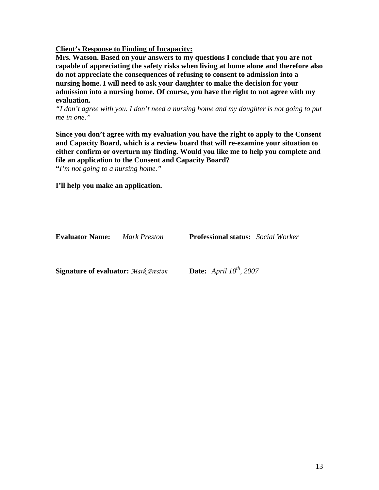**Client's Response to Finding of Incapacity:**

**Mrs. Watson. Based on your answers to my questions I conclude that you are not capable of appreciating the safety risks when living at home alone and therefore also do not appreciate the consequences of refusing to consent to admission into a nursing home. I will need to ask your daughter to make the decision for your admission into a nursing home. Of course, you have the right to not agree with my evaluation.** 

*"I don't agree with you. I don't need a nursing home and my daughter is not going to put me in one."* 

**Since you don't agree with my evaluation you have the right to apply to the Consent and Capacity Board, which is a review board that will re-examine your situation to either confirm or overturn my finding. Would you like me to help you complete and file an application to the Consent and Capacity Board?** 

**"***I'm not going to a nursing home."* 

**I'll help you make an application.** 

**Evaluator Name:** *Mark Preston* **Professional status:** *Social Worker*  **Signature of evaluator:** *Mark Preston* **Date:** *April 10<sup>th</sup>, 2007*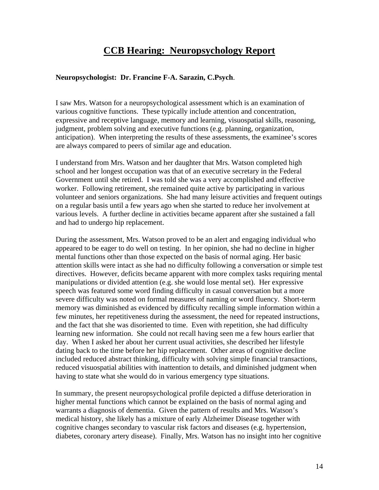## **CCB Hearing: Neuropsychology Report**

#### **Neuropsychologist: Dr. Francine F-A. Sarazin, C.Psych**.

I saw Mrs. Watson for a neuropsychological assessment which is an examination of various cognitive functions. These typically include attention and concentration, expressive and receptive language, memory and learning, visuospatial skills, reasoning, judgment, problem solving and executive functions (e.g. planning, organization, anticipation). When interpreting the results of these assessments, the examinee's scores are always compared to peers of similar age and education.

I understand from Mrs. Watson and her daughter that Mrs. Watson completed high school and her longest occupation was that of an executive secretary in the Federal Government until she retired. I was told she was a very accomplished and effective worker. Following retirement, she remained quite active by participating in various volunteer and seniors organizations. She had many leisure activities and frequent outings on a regular basis until a few years ago when she started to reduce her involvement at various levels. A further decline in activities became apparent after she sustained a fall and had to undergo hip replacement.

During the assessment, Mrs. Watson proved to be an alert and engaging individual who appeared to be eager to do well on testing. In her opinion, she had no decline in higher mental functions other than those expected on the basis of normal aging. Her basic attention skills were intact as she had no difficulty following a conversation or simple test directives. However, deficits became apparent with more complex tasks requiring mental manipulations or divided attention (e.g. she would lose mental set). Her expressive speech was featured some word finding difficulty in casual conversation but a more severe difficulty was noted on formal measures of naming or word fluency. Short-term memory was diminished as evidenced by difficulty recalling simple information within a few minutes, her repetitiveness during the assessment, the need for repeated instructions, and the fact that she was disoriented to time. Even with repetition, she had difficulty learning new information. She could not recall having seen me a few hours earlier that day. When I asked her about her current usual activities, she described her lifestyle dating back to the time before her hip replacement. Other areas of cognitive decline included reduced abstract thinking, difficulty with solving simple financial transactions, reduced visuospatial abilities with inattention to details, and diminished judgment when having to state what she would do in various emergency type situations.

In summary, the present neuropsychological profile depicted a diffuse deterioration in higher mental functions which cannot be explained on the basis of normal aging and warrants a diagnosis of dementia. Given the pattern of results and Mrs. Watson's medical history, she likely has a mixture of early Alzheimer Disease together with cognitive changes secondary to vascular risk factors and diseases (e.g. hypertension, diabetes, coronary artery disease). Finally, Mrs. Watson has no insight into her cognitive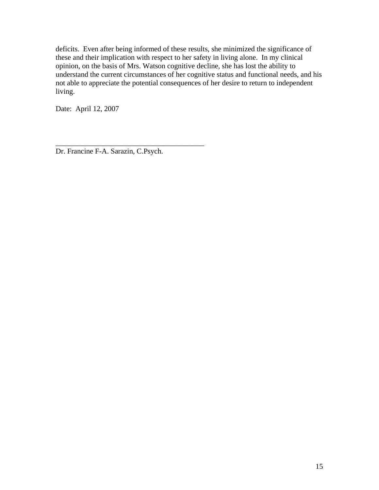deficits. Even after being informed of these results, she minimized the significance of these and their implication with respect to her safety in living alone. In my clinical opinion, on the basis of Mrs. Watson cognitive decline, she has lost the ability to understand the current circumstances of her cognitive status and functional needs, and his not able to appreciate the potential consequences of her desire to return to independent living.

Date: April 12, 2007

Dr. Francine F-A. Sarazin, C.Psych.

\_\_\_\_\_\_\_\_\_\_\_\_\_\_\_\_\_\_\_\_\_\_\_\_\_\_\_\_\_\_\_\_\_\_\_\_\_\_\_\_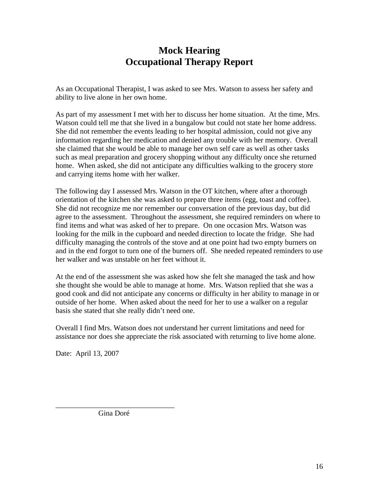## **Mock Hearing Occupational Therapy Report**

As an Occupational Therapist, I was asked to see Mrs. Watson to assess her safety and ability to live alone in her own home.

As part of my assessment I met with her to discuss her home situation. At the time, Mrs. Watson could tell me that she lived in a bungalow but could not state her home address. She did not remember the events leading to her hospital admission, could not give any information regarding her medication and denied any trouble with her memory. Overall she claimed that she would be able to manage her own self care as well as other tasks such as meal preparation and grocery shopping without any difficulty once she returned home. When asked, she did not anticipate any difficulties walking to the grocery store and carrying items home with her walker.

The following day I assessed Mrs. Watson in the OT kitchen, where after a thorough orientation of the kitchen she was asked to prepare three items (egg, toast and coffee). She did not recognize me nor remember our conversation of the previous day, but did agree to the assessment. Throughout the assessment, she required reminders on where to find items and what was asked of her to prepare. On one occasion Mrs. Watson was looking for the milk in the cupboard and needed direction to locate the fridge. She had difficulty managing the controls of the stove and at one point had two empty burners on and in the end forgot to turn one of the burners off. She needed repeated reminders to use her walker and was unstable on her feet without it.

At the end of the assessment she was asked how she felt she managed the task and how she thought she would be able to manage at home. Mrs. Watson replied that she was a good cook and did not anticipate any concerns or difficulty in her ability to manage in or outside of her home. When asked about the need for her to use a walker on a regular basis she stated that she really didn't need one.

Overall I find Mrs. Watson does not understand her current limitations and need for assistance nor does she appreciate the risk associated with returning to live home alone.

Date: April 13, 2007

\_\_\_\_\_\_\_\_\_\_\_\_\_\_\_\_\_\_\_\_\_\_\_\_\_\_\_\_\_\_\_\_ Gina Doré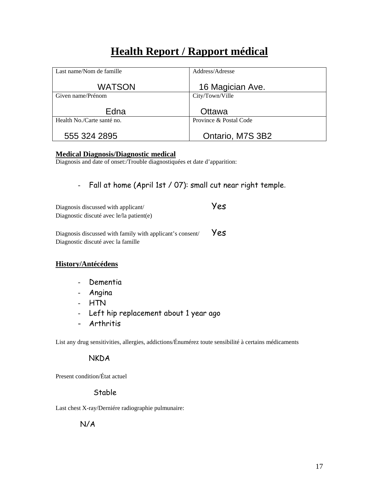# **Health Report / Rapport médical**

| Last name/Nom de famille   | Address/Adresse        |
|----------------------------|------------------------|
| <b>WATSON</b>              | 16 Magician Ave.       |
| Given name/Prénom          | City/Town/Ville        |
| Edna                       | Ottawa                 |
| Health No./Carte santé no. | Province & Postal Code |
| 555 324 2895               | Ontario, M7S 3B2       |

#### **Medical Diagnosis/Diagnostic medical**

Diagnosis and date of onset:/Trouble diagnostiquées et date d'apparition:

- Fall at home (April 1st / 07): small cut near right temple.

| Diagnosis discussed with applicant/                       | Yes |
|-----------------------------------------------------------|-----|
| Diagnostic discuté avec le/la patient(e)                  |     |
|                                                           |     |
| Diagnosis discussed with family with applicant's consent/ | Yes |

### **History/Antécédens**

- Dementia

Diagnostic discuté avec la famille

- Angina
- HTN
- Left hip replacement about 1 year ago
- Arthritis

List any drug sensitivities, allergies, addictions/Énumérez toute sensibilité à certains médicaments

### **NKDA**

Present condition/État actuel

### Stable

Last chest X-ray/Derniére radiographie pulmunaire:

N/A